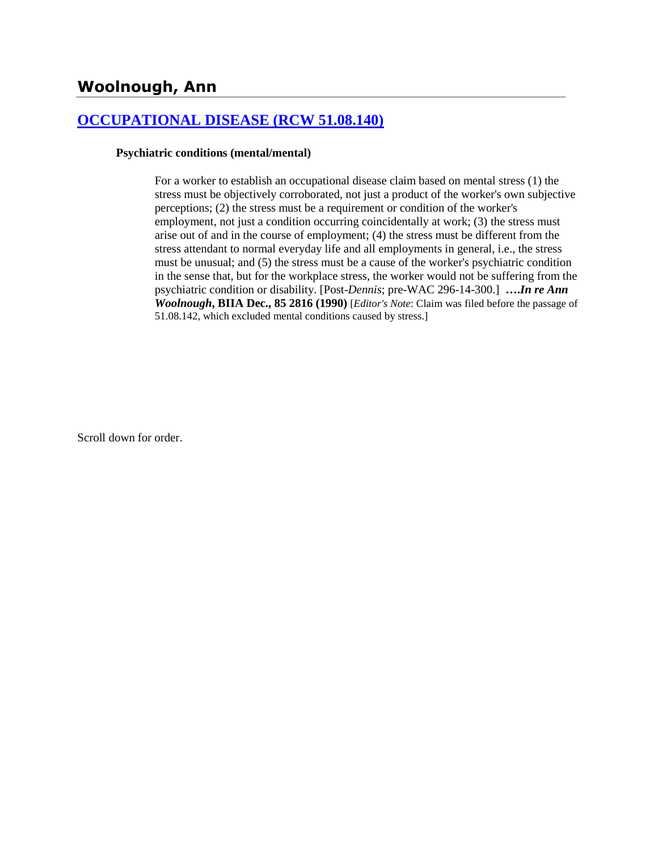# **Woolnough, Ann**

### **[OCCUPATIONAL DISEASE \(RCW 51.08.140\)](http://www.biia.wa.gov/SDSubjectIndex.html#OCCUPATIONAL_DISEASE)**

#### **Psychiatric conditions (mental/mental)**

For a worker to establish an occupational disease claim based on mental stress (1) the stress must be objectively corroborated, not just a product of the worker's own subjective perceptions; (2) the stress must be a requirement or condition of the worker's employment, not just a condition occurring coincidentally at work; (3) the stress must arise out of and in the course of employment; (4) the stress must be different from the stress attendant to normal everyday life and all employments in general, i.e., the stress must be unusual; and (5) the stress must be a cause of the worker's psychiatric condition in the sense that, but for the workplace stress, the worker would not be suffering from the psychiatric condition or disability. [Post-*Dennis*; pre-WAC 296-14-300.] **….***In re Ann Woolnough***, BIIA Dec., 85 2816 (1990)** [*Editor's Note*: Claim was filed before the passage of 51.08.142, which excluded mental conditions caused by stress.]

Scroll down for order.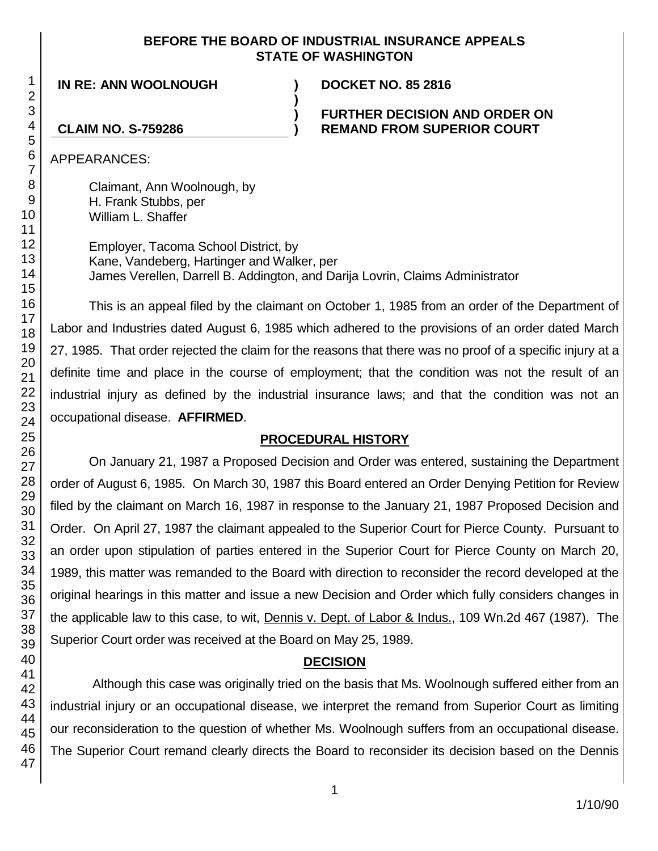### **BEFORE THE BOARD OF INDUSTRIAL INSURANCE APPEALS STATE OF WASHINGTON**

**IN RE: ANN WOOLNOUGH ) DOCKET NO. 85 2816**

### **FURTHER DECISION AND ORDER ON REMAND FROM SUPERIOR COURT**

# **CLAIM NO. S-759286**

APPEARANCES:

Claimant, Ann Woolnough, by H. Frank Stubbs, per William L. Shaffer

Employer, Tacoma School District, by Kane, Vandeberg, Hartinger and Walker, per James Verellen, Darrell B. Addington, and Darija Lovrin, Claims Administrator

**)**

**) )**

This is an appeal filed by the claimant on October 1, 1985 from an order of the Department of Labor and Industries dated August 6, 1985 which adhered to the provisions of an order dated March 27, 1985. That order rejected the claim for the reasons that there was no proof of a specific injury at a definite time and place in the course of employment; that the condition was not the result of an industrial injury as defined by the industrial insurance laws; and that the condition was not an occupational disease. **AFFIRMED**.

# **PROCEDURAL HISTORY**

On January 21, 1987 a Proposed Decision and Order was entered, sustaining the Department order of August 6, 1985. On March 30, 1987 this Board entered an Order Denying Petition for Review filed by the claimant on March 16, 1987 in response to the January 21, 1987 Proposed Decision and Order. On April 27, 1987 the claimant appealed to the Superior Court for Pierce County. Pursuant to an order upon stipulation of parties entered in the Superior Court for Pierce County on March 20, 1989, this matter was remanded to the Board with direction to reconsider the record developed at the original hearings in this matter and issue a new Decision and Order which fully considers changes in the applicable law to this case, to wit, Dennis v. Dept. of Labor & Indus., 109 Wn.2d 467 (1987). The Superior Court order was received at the Board on May 25, 1989.

# **DECISION**

Although this case was originally tried on the basis that Ms. Woolnough suffered either from an industrial injury or an occupational disease, we interpret the remand from Superior Court as limiting our reconsideration to the question of whether Ms. Woolnough suffers from an occupational disease. The Superior Court remand clearly directs the Board to reconsider its decision based on the Dennis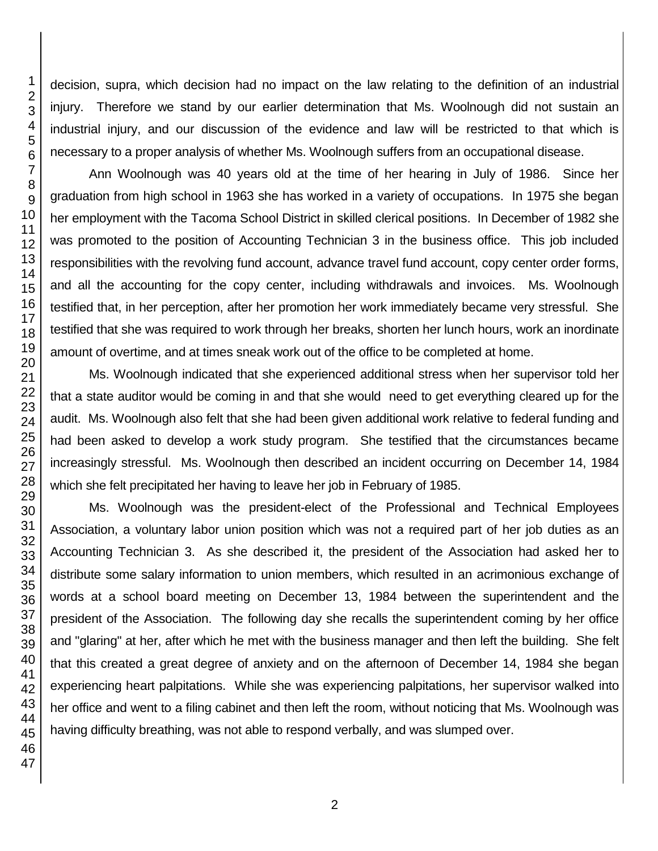decision, supra, which decision had no impact on the law relating to the definition of an industrial injury. Therefore we stand by our earlier determination that Ms. Woolnough did not sustain an industrial injury, and our discussion of the evidence and law will be restricted to that which is necessary to a proper analysis of whether Ms. Woolnough suffers from an occupational disease.

Ann Woolnough was 40 years old at the time of her hearing in July of 1986. Since her graduation from high school in 1963 she has worked in a variety of occupations. In 1975 she began her employment with the Tacoma School District in skilled clerical positions. In December of 1982 she was promoted to the position of Accounting Technician 3 in the business office. This job included responsibilities with the revolving fund account, advance travel fund account, copy center order forms, and all the accounting for the copy center, including withdrawals and invoices. Ms. Woolnough testified that, in her perception, after her promotion her work immediately became very stressful. She testified that she was required to work through her breaks, shorten her lunch hours, work an inordinate amount of overtime, and at times sneak work out of the office to be completed at home.

Ms. Woolnough indicated that she experienced additional stress when her supervisor told her that a state auditor would be coming in and that she would need to get everything cleared up for the audit. Ms. Woolnough also felt that she had been given additional work relative to federal funding and had been asked to develop a work study program. She testified that the circumstances became increasingly stressful. Ms. Woolnough then described an incident occurring on December 14, 1984 which she felt precipitated her having to leave her job in February of 1985.

Ms. Woolnough was the president-elect of the Professional and Technical Employees Association, a voluntary labor union position which was not a required part of her job duties as an Accounting Technician 3. As she described it, the president of the Association had asked her to distribute some salary information to union members, which resulted in an acrimonious exchange of words at a school board meeting on December 13, 1984 between the superintendent and the president of the Association. The following day she recalls the superintendent coming by her office and "glaring" at her, after which he met with the business manager and then left the building. She felt that this created a great degree of anxiety and on the afternoon of December 14, 1984 she began experiencing heart palpitations. While she was experiencing palpitations, her supervisor walked into her office and went to a filing cabinet and then left the room, without noticing that Ms. Woolnough was having difficulty breathing, was not able to respond verbally, and was slumped over.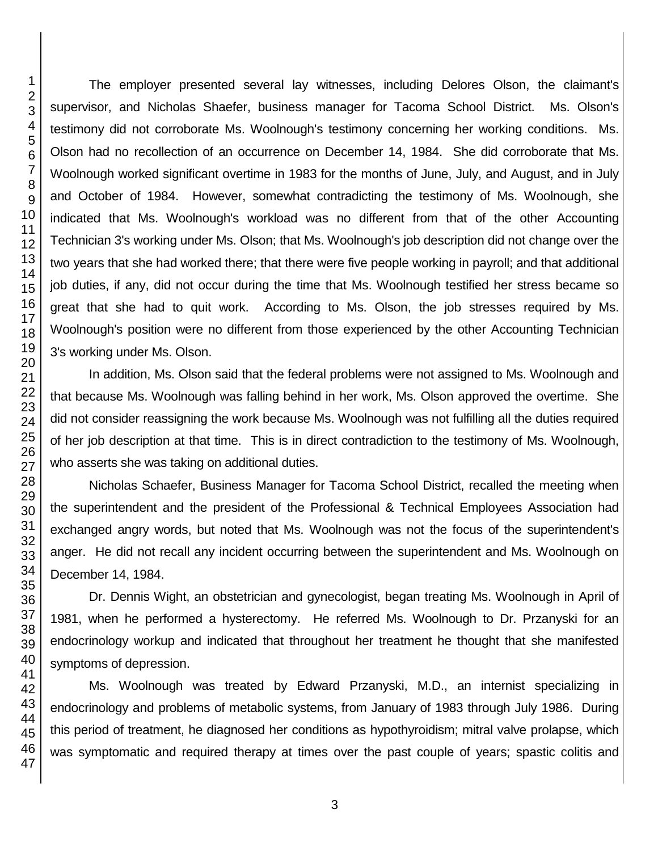The employer presented several lay witnesses, including Delores Olson, the claimant's supervisor, and Nicholas Shaefer, business manager for Tacoma School District. Ms. Olson's testimony did not corroborate Ms. Woolnough's testimony concerning her working conditions. Ms. Olson had no recollection of an occurrence on December 14, 1984. She did corroborate that Ms. Woolnough worked significant overtime in 1983 for the months of June, July, and August, and in July and October of 1984. However, somewhat contradicting the testimony of Ms. Woolnough, she indicated that Ms. Woolnough's workload was no different from that of the other Accounting Technician 3's working under Ms. Olson; that Ms. Woolnough's job description did not change over the two years that she had worked there; that there were five people working in payroll; and that additional job duties, if any, did not occur during the time that Ms. Woolnough testified her stress became so great that she had to quit work. According to Ms. Olson, the job stresses required by Ms. Woolnough's position were no different from those experienced by the other Accounting Technician 3's working under Ms. Olson.

In addition, Ms. Olson said that the federal problems were not assigned to Ms. Woolnough and that because Ms. Woolnough was falling behind in her work, Ms. Olson approved the overtime. She did not consider reassigning the work because Ms. Woolnough was not fulfilling all the duties required of her job description at that time. This is in direct contradiction to the testimony of Ms. Woolnough, who asserts she was taking on additional duties.

Nicholas Schaefer, Business Manager for Tacoma School District, recalled the meeting when the superintendent and the president of the Professional & Technical Employees Association had exchanged angry words, but noted that Ms. Woolnough was not the focus of the superintendent's anger. He did not recall any incident occurring between the superintendent and Ms. Woolnough on December 14, 1984.

Dr. Dennis Wight, an obstetrician and gynecologist, began treating Ms. Woolnough in April of 1981, when he performed a hysterectomy. He referred Ms. Woolnough to Dr. Przanyski for an endocrinology workup and indicated that throughout her treatment he thought that she manifested symptoms of depression.

Ms. Woolnough was treated by Edward Przanyski, M.D., an internist specializing in endocrinology and problems of metabolic systems, from January of 1983 through July 1986. During this period of treatment, he diagnosed her conditions as hypothyroidism; mitral valve prolapse, which was symptomatic and required therapy at times over the past couple of years; spastic colitis and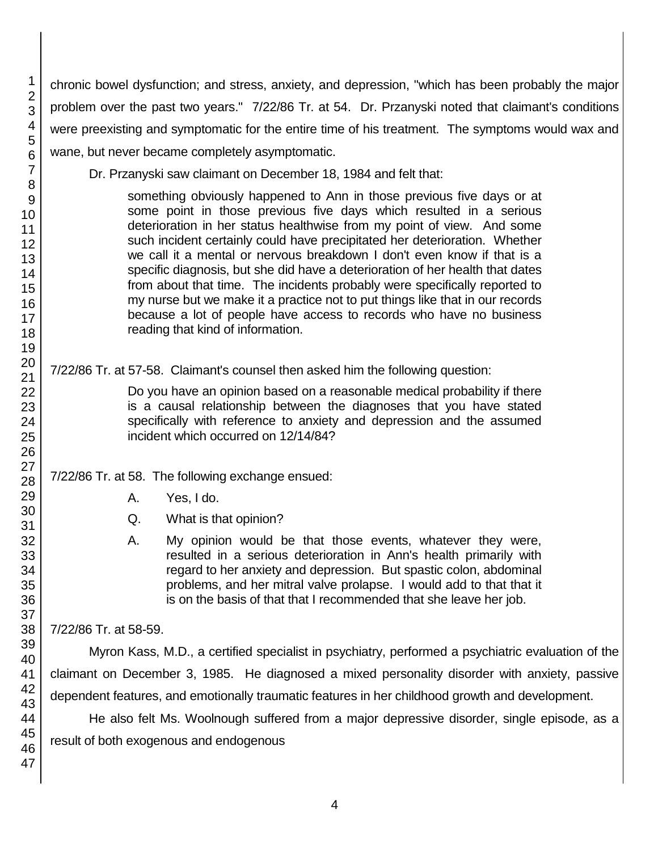chronic bowel dysfunction; and stress, anxiety, and depression, "which has been probably the major problem over the past two years." 7/22/86 Tr. at 54. Dr. Przanyski noted that claimant's conditions were preexisting and symptomatic for the entire time of his treatment. The symptoms would wax and wane, but never became completely asymptomatic.

Dr. Przanyski saw claimant on December 18, 1984 and felt that:

something obviously happened to Ann in those previous five days or at some point in those previous five days which resulted in a serious deterioration in her status healthwise from my point of view. And some such incident certainly could have precipitated her deterioration. Whether we call it a mental or nervous breakdown I don't even know if that is a specific diagnosis, but she did have a deterioration of her health that dates from about that time. The incidents probably were specifically reported to my nurse but we make it a practice not to put things like that in our records because a lot of people have access to records who have no business reading that kind of information.

7/22/86 Tr. at 57-58. Claimant's counsel then asked him the following question:

Do you have an opinion based on a reasonable medical probability if there is a causal relationship between the diagnoses that you have stated specifically with reference to anxiety and depression and the assumed incident which occurred on 12/14/84?

7/22/86 Tr. at 58. The following exchange ensued:

- A. Yes, I do.
- Q. What is that opinion?
- A. My opinion would be that those events, whatever they were, resulted in a serious deterioration in Ann's health primarily with regard to her anxiety and depression. But spastic colon, abdominal problems, and her mitral valve prolapse. I would add to that that it is on the basis of that that I recommended that she leave her job.

7/22/86 Tr. at 58-59.

Myron Kass, M.D., a certified specialist in psychiatry, performed a psychiatric evaluation of the claimant on December 3, 1985. He diagnosed a mixed personality disorder with anxiety, passive dependent features, and emotionally traumatic features in her childhood growth and development.

He also felt Ms. Woolnough suffered from a major depressive disorder, single episode, as a result of both exogenous and endogenous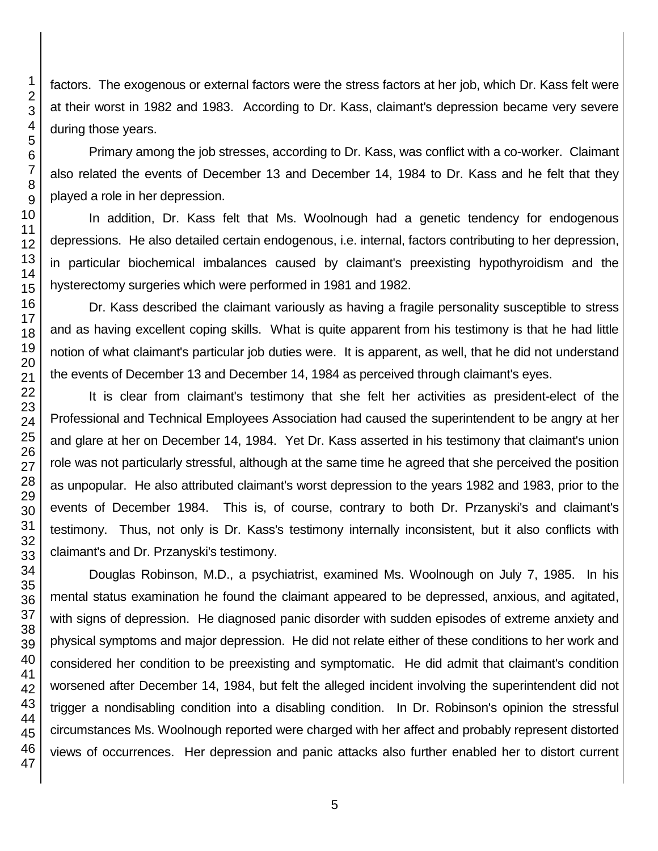factors. The exogenous or external factors were the stress factors at her job, which Dr. Kass felt were at their worst in 1982 and 1983. According to Dr. Kass, claimant's depression became very severe during those years.

Primary among the job stresses, according to Dr. Kass, was conflict with a co-worker. Claimant also related the events of December 13 and December 14, 1984 to Dr. Kass and he felt that they played a role in her depression.

In addition, Dr. Kass felt that Ms. Woolnough had a genetic tendency for endogenous depressions. He also detailed certain endogenous, i.e. internal, factors contributing to her depression, in particular biochemical imbalances caused by claimant's preexisting hypothyroidism and the hysterectomy surgeries which were performed in 1981 and 1982.

Dr. Kass described the claimant variously as having a fragile personality susceptible to stress and as having excellent coping skills. What is quite apparent from his testimony is that he had little notion of what claimant's particular job duties were. It is apparent, as well, that he did not understand the events of December 13 and December 14, 1984 as perceived through claimant's eyes.

It is clear from claimant's testimony that she felt her activities as president-elect of the Professional and Technical Employees Association had caused the superintendent to be angry at her and glare at her on December 14, 1984. Yet Dr. Kass asserted in his testimony that claimant's union role was not particularly stressful, although at the same time he agreed that she perceived the position as unpopular. He also attributed claimant's worst depression to the years 1982 and 1983, prior to the events of December 1984. This is, of course, contrary to both Dr. Przanyski's and claimant's testimony. Thus, not only is Dr. Kass's testimony internally inconsistent, but it also conflicts with claimant's and Dr. Przanyski's testimony.

Douglas Robinson, M.D., a psychiatrist, examined Ms. Woolnough on July 7, 1985. In his mental status examination he found the claimant appeared to be depressed, anxious, and agitated, with signs of depression. He diagnosed panic disorder with sudden episodes of extreme anxiety and physical symptoms and major depression. He did not relate either of these conditions to her work and considered her condition to be preexisting and symptomatic. He did admit that claimant's condition worsened after December 14, 1984, but felt the alleged incident involving the superintendent did not trigger a nondisabling condition into a disabling condition. In Dr. Robinson's opinion the stressful circumstances Ms. Woolnough reported were charged with her affect and probably represent distorted views of occurrences. Her depression and panic attacks also further enabled her to distort current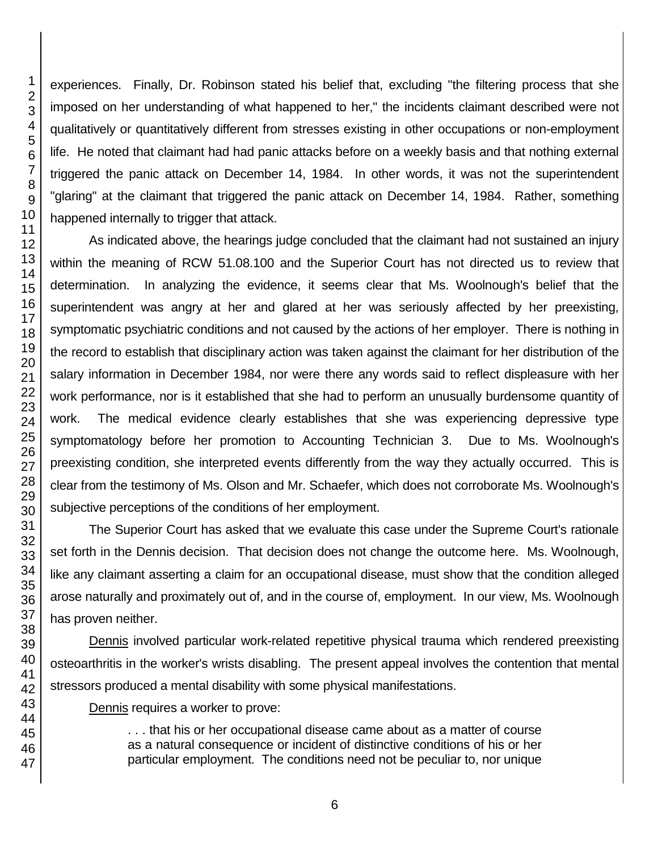experiences. Finally, Dr. Robinson stated his belief that, excluding "the filtering process that she imposed on her understanding of what happened to her," the incidents claimant described were not qualitatively or quantitatively different from stresses existing in other occupations or non-employment life. He noted that claimant had had panic attacks before on a weekly basis and that nothing external triggered the panic attack on December 14, 1984. In other words, it was not the superintendent "glaring" at the claimant that triggered the panic attack on December 14, 1984. Rather, something happened internally to trigger that attack.

As indicated above, the hearings judge concluded that the claimant had not sustained an injury within the meaning of RCW 51.08.100 and the Superior Court has not directed us to review that determination. In analyzing the evidence, it seems clear that Ms. Woolnough's belief that the superintendent was angry at her and glared at her was seriously affected by her preexisting, symptomatic psychiatric conditions and not caused by the actions of her employer. There is nothing in the record to establish that disciplinary action was taken against the claimant for her distribution of the salary information in December 1984, nor were there any words said to reflect displeasure with her work performance, nor is it established that she had to perform an unusually burdensome quantity of work. The medical evidence clearly establishes that she was experiencing depressive type symptomatology before her promotion to Accounting Technician 3. Due to Ms. Woolnough's preexisting condition, she interpreted events differently from the way they actually occurred. This is clear from the testimony of Ms. Olson and Mr. Schaefer, which does not corroborate Ms. Woolnough's subjective perceptions of the conditions of her employment.

The Superior Court has asked that we evaluate this case under the Supreme Court's rationale set forth in the Dennis decision. That decision does not change the outcome here. Ms. Woolnough, like any claimant asserting a claim for an occupational disease, must show that the condition alleged arose naturally and proximately out of, and in the course of, employment. In our view, Ms. Woolnough has proven neither.

Dennis involved particular work-related repetitive physical trauma which rendered preexisting osteoarthritis in the worker's wrists disabling. The present appeal involves the contention that mental stressors produced a mental disability with some physical manifestations.

Dennis requires a worker to prove:

. . . that his or her occupational disease came about as a matter of course as a natural consequence or incident of distinctive conditions of his or her particular employment. The conditions need not be peculiar to, nor unique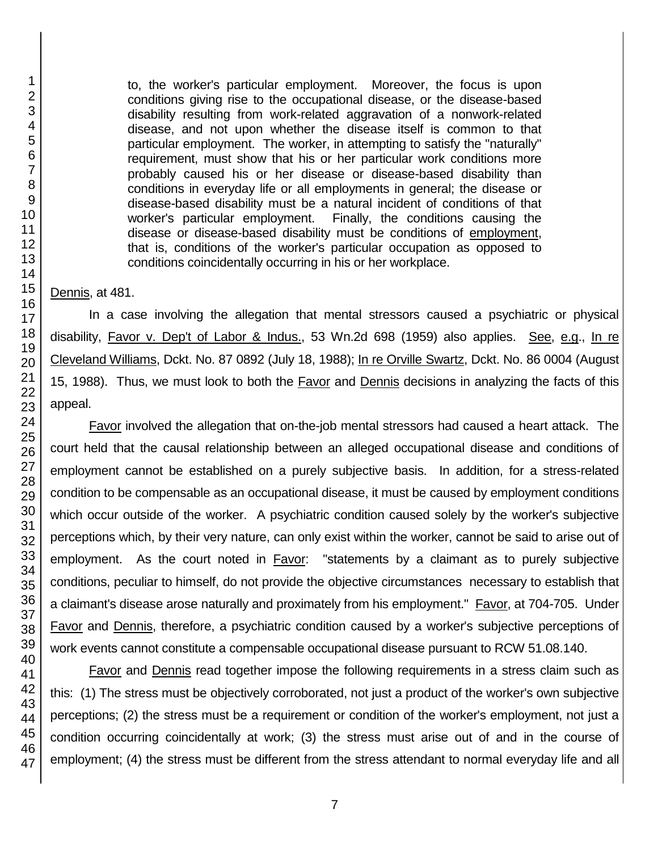to, the worker's particular employment. Moreover, the focus is upon conditions giving rise to the occupational disease, or the disease-based disability resulting from work-related aggravation of a nonwork-related disease, and not upon whether the disease itself is common to that particular employment. The worker, in attempting to satisfy the "naturally" requirement, must show that his or her particular work conditions more probably caused his or her disease or disease-based disability than conditions in everyday life or all employments in general; the disease or disease-based disability must be a natural incident of conditions of that worker's particular employment. Finally, the conditions causing the disease or disease-based disability must be conditions of employment, that is, conditions of the worker's particular occupation as opposed to conditions coincidentally occurring in his or her workplace.

Dennis, at 481.

In a case involving the allegation that mental stressors caused a psychiatric or physical disability, Favor v. Dep't of Labor & Indus., 53 Wn.2d 698 (1959) also applies. See, e.g., In re Cleveland Williams, Dckt. No. 87 0892 (July 18, 1988); In re Orville Swartz, Dckt. No. 86 0004 (August 15, 1988). Thus, we must look to both the **Favor and Dennis decisions in analyzing the facts of this** appeal.

Favor involved the allegation that on-the-job mental stressors had caused a heart attack. The court held that the causal relationship between an alleged occupational disease and conditions of employment cannot be established on a purely subjective basis. In addition, for a stress-related condition to be compensable as an occupational disease, it must be caused by employment conditions which occur outside of the worker. A psychiatric condition caused solely by the worker's subjective perceptions which, by their very nature, can only exist within the worker, cannot be said to arise out of employment. As the court noted in **Favor:** "statements by a claimant as to purely subjective conditions, peculiar to himself, do not provide the objective circumstances necessary to establish that a claimant's disease arose naturally and proximately from his employment." Favor, at 704-705. Under Favor and Dennis, therefore, a psychiatric condition caused by a worker's subjective perceptions of work events cannot constitute a compensable occupational disease pursuant to RCW 51.08.140.

Favor and Dennis read together impose the following requirements in a stress claim such as this: (1) The stress must be objectively corroborated, not just a product of the worker's own subjective perceptions; (2) the stress must be a requirement or condition of the worker's employment, not just a condition occurring coincidentally at work; (3) the stress must arise out of and in the course of employment; (4) the stress must be different from the stress attendant to normal everyday life and all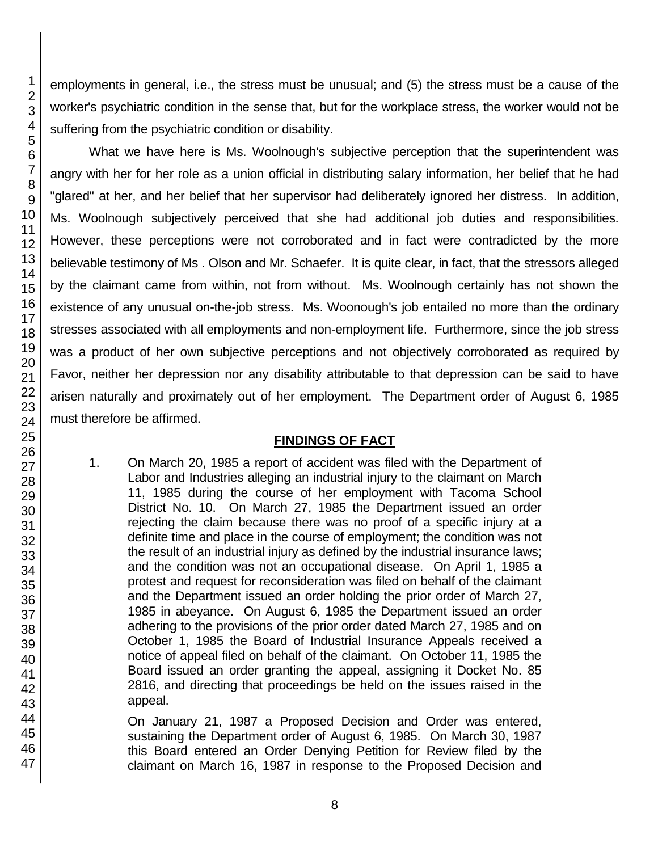employments in general, i.e., the stress must be unusual; and (5) the stress must be a cause of the worker's psychiatric condition in the sense that, but for the workplace stress, the worker would not be suffering from the psychiatric condition or disability.

What we have here is Ms. Woolnough's subjective perception that the superintendent was angry with her for her role as a union official in distributing salary information, her belief that he had "glared" at her, and her belief that her supervisor had deliberately ignored her distress. In addition, Ms. Woolnough subjectively perceived that she had additional job duties and responsibilities. However, these perceptions were not corroborated and in fact were contradicted by the more believable testimony of Ms . Olson and Mr. Schaefer. It is quite clear, in fact, that the stressors alleged by the claimant came from within, not from without. Ms. Woolnough certainly has not shown the existence of any unusual on-the-job stress. Ms. Woonough's job entailed no more than the ordinary stresses associated with all employments and non-employment life. Furthermore, since the job stress was a product of her own subjective perceptions and not objectively corroborated as required by Favor, neither her depression nor any disability attributable to that depression can be said to have arisen naturally and proximately out of her employment. The Department order of August 6, 1985 must therefore be affirmed.

## **FINDINGS OF FACT**

1. On March 20, 1985 a report of accident was filed with the Department of Labor and Industries alleging an industrial injury to the claimant on March 11, 1985 during the course of her employment with Tacoma School District No. 10. On March 27, 1985 the Department issued an order rejecting the claim because there was no proof of a specific injury at a definite time and place in the course of employment; the condition was not the result of an industrial injury as defined by the industrial insurance laws; and the condition was not an occupational disease. On April 1, 1985 a protest and request for reconsideration was filed on behalf of the claimant and the Department issued an order holding the prior order of March 27, 1985 in abeyance. On August 6, 1985 the Department issued an order adhering to the provisions of the prior order dated March 27, 1985 and on October 1, 1985 the Board of Industrial Insurance Appeals received a notice of appeal filed on behalf of the claimant. On October 11, 1985 the Board issued an order granting the appeal, assigning it Docket No. 85 2816, and directing that proceedings be held on the issues raised in the appeal.

On January 21, 1987 a Proposed Decision and Order was entered, sustaining the Department order of August 6, 1985. On March 30, 1987 this Board entered an Order Denying Petition for Review filed by the claimant on March 16, 1987 in response to the Proposed Decision and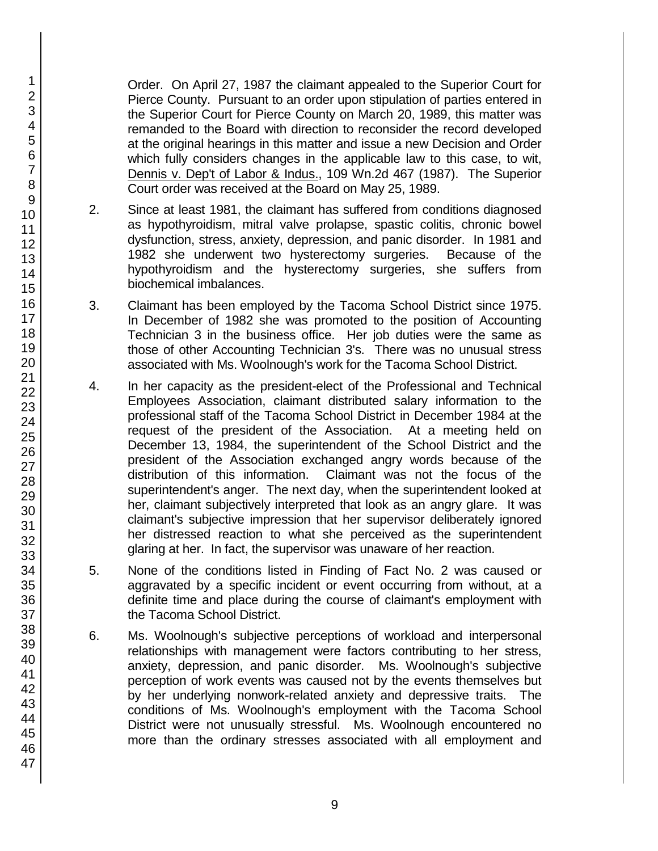Order. On April 27, 1987 the claimant appealed to the Superior Court for Pierce County. Pursuant to an order upon stipulation of parties entered in the Superior Court for Pierce County on March 20, 1989, this matter was remanded to the Board with direction to reconsider the record developed at the original hearings in this matter and issue a new Decision and Order which fully considers changes in the applicable law to this case, to wit, Dennis v. Dep't of Labor & Indus., 109 Wn.2d 467 (1987). The Superior Court order was received at the Board on May 25, 1989.

- 2. Since at least 1981, the claimant has suffered from conditions diagnosed as hypothyroidism, mitral valve prolapse, spastic colitis, chronic bowel dysfunction, stress, anxiety, depression, and panic disorder. In 1981 and 1982 she underwent two hysterectomy surgeries. Because of the hypothyroidism and the hysterectomy surgeries, she suffers from biochemical imbalances.
- 3. Claimant has been employed by the Tacoma School District since 1975. In December of 1982 she was promoted to the position of Accounting Technician 3 in the business office. Her job duties were the same as those of other Accounting Technician 3's. There was no unusual stress associated with Ms. Woolnough's work for the Tacoma School District.
- 4. In her capacity as the president-elect of the Professional and Technical Employees Association, claimant distributed salary information to the professional staff of the Tacoma School District in December 1984 at the request of the president of the Association. At a meeting held on December 13, 1984, the superintendent of the School District and the president of the Association exchanged angry words because of the distribution of this information. Claimant was not the focus of the superintendent's anger. The next day, when the superintendent looked at her, claimant subjectively interpreted that look as an angry glare. It was claimant's subjective impression that her supervisor deliberately ignored her distressed reaction to what she perceived as the superintendent glaring at her. In fact, the supervisor was unaware of her reaction.
- 5. None of the conditions listed in Finding of Fact No. 2 was caused or aggravated by a specific incident or event occurring from without, at a definite time and place during the course of claimant's employment with the Tacoma School District.
- 6. Ms. Woolnough's subjective perceptions of workload and interpersonal relationships with management were factors contributing to her stress, anxiety, depression, and panic disorder. Ms. Woolnough's subjective perception of work events was caused not by the events themselves but by her underlying nonwork-related anxiety and depressive traits. The conditions of Ms. Woolnough's employment with the Tacoma School District were not unusually stressful. Ms. Woolnough encountered no more than the ordinary stresses associated with all employment and